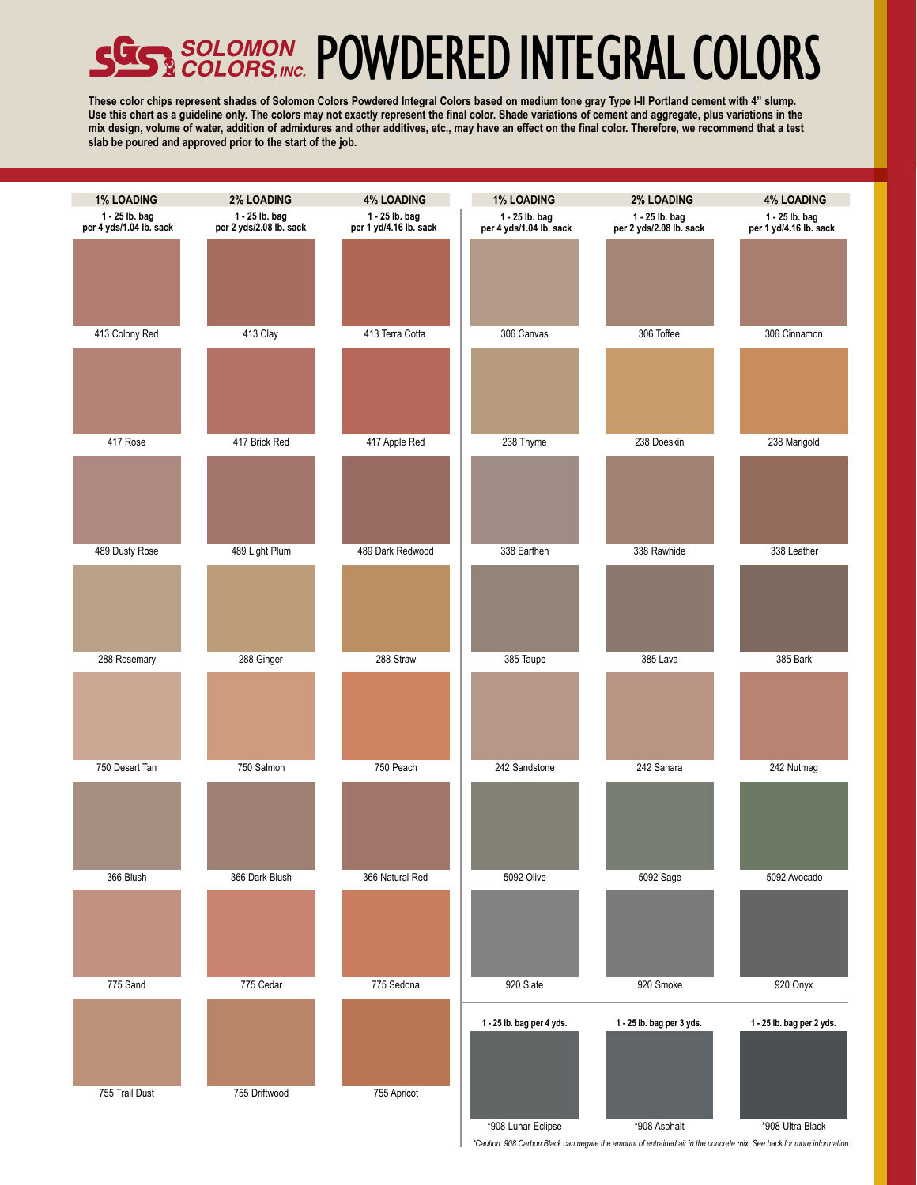# SOLOMON POWDERED INTEGRAL COLO

**These color chips represent shades of Solomon Colors Powdered Integral Colors based on medium tone gray Type I-II Portland cement with 4" slump. Use this chart as a guideline only. The colors may not exactly represent the final color. Shade variations of cement and aggregate, plus variations in the mix design, volume of water, addition of admixtures and other additives, etc., may have an effect on the final color. Therefore, we recommend that a test slab be poured and approved prior to the start of the job.** 



*\*Caution: 908 Carbon Black can negate the amount of entrained air in the concrete mix. See back for more information.*